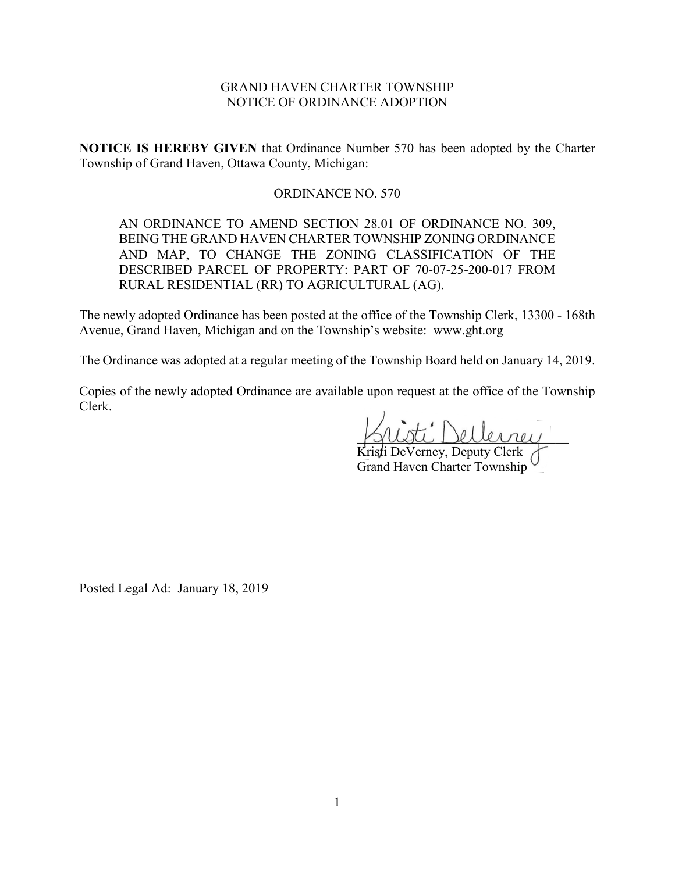# GRAND HAVEN CHARTER TOWNSHIP NOTICE OF ORDINANCE ADOPTION

**NOTICE IS HEREBY GIVEN** that Ordinance Number 570 has been adopted by the Charter Township of Grand Haven, Ottawa County, Michigan:

## ORDINANCE NO. 570

AN ORDINANCE TO AMEND SECTION 28.01 OF ORDINANCE NO. 309, BEING THE GRAND HAVEN CHARTER TOWNSHIP ZONING ORDINANCE AND MAP, TO CHANGE THE ZONING CLASSIFICATION OF THE DESCRIBED PARCEL OF PROPERTY: PART OF 70-07-25-200-017 FROM RURAL RESIDENTIAL (RR) TO AGRICULTURAL (AG).

The newly adopted Ordinance has been posted at the office of the Township Clerk, 13300 - 168th Avenue, Grand Haven, Michigan and on the Township's website: www.ght.org

The Ordinance was adopted at a regular meeting of the Township Board held on January 14, 2019.

Copies of the newly adopted Ordinance are available upon request at the office of the Township Clerk.

\_\_\_\_\_\_\_\_\_\_\_\_\_\_\_\_\_\_\_\_\_\_\_\_\_\_\_\_\_\_\_\_

Kristi DeVerney, Deputy Clerk Grand Haven Charter Township

Posted Legal Ad: January 18, 2019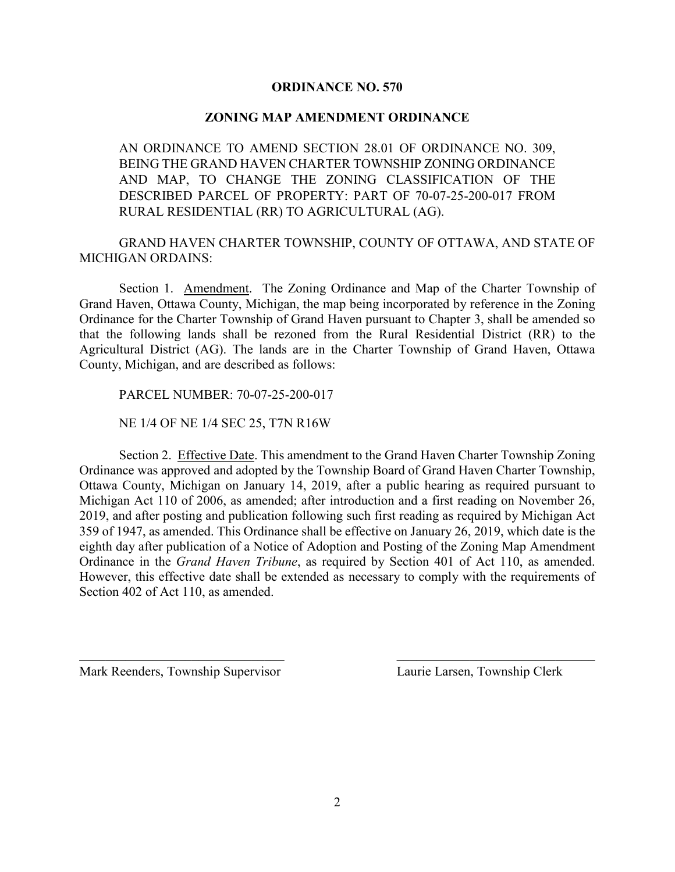## **ORDINANCE NO. 570**

### **ZONING MAP AMENDMENT ORDINANCE**

AN ORDINANCE TO AMEND SECTION 28.01 OF ORDINANCE NO. 309, BEING THE GRAND HAVEN CHARTER TOWNSHIP ZONING ORDINANCE AND MAP, TO CHANGE THE ZONING CLASSIFICATION OF THE DESCRIBED PARCEL OF PROPERTY: PART OF 70-07-25-200-017 FROM RURAL RESIDENTIAL (RR) TO AGRICULTURAL (AG).

GRAND HAVEN CHARTER TOWNSHIP, COUNTY OF OTTAWA, AND STATE OF MICHIGAN ORDAINS:

Section 1. Amendment. The Zoning Ordinance and Map of the Charter Township of Grand Haven, Ottawa County, Michigan, the map being incorporated by reference in the Zoning Ordinance for the Charter Township of Grand Haven pursuant to Chapter 3, shall be amended so that the following lands shall be rezoned from the Rural Residential District (RR) to the Agricultural District (AG). The lands are in the Charter Township of Grand Haven, Ottawa County, Michigan, and are described as follows:

PARCEL NUMBER: 70-07-25-200-017

NE 1/4 OF NE 1/4 SEC 25, T7N R16W

Section 2. Effective Date. This amendment to the Grand Haven Charter Township Zoning Ordinance was approved and adopted by the Township Board of Grand Haven Charter Township, Ottawa County, Michigan on January 14, 2019, after a public hearing as required pursuant to Michigan Act 110 of 2006, as amended; after introduction and a first reading on November 26, 2019, and after posting and publication following such first reading as required by Michigan Act 359 of 1947, as amended. This Ordinance shall be effective on January 26, 2019, which date is the eighth day after publication of a Notice of Adoption and Posting of the Zoning Map Amendment Ordinance in the *Grand Haven Tribune*, as required by Section 401 of Act 110, as amended. However, this effective date shall be extended as necessary to comply with the requirements of Section 402 of Act 110, as amended.

 $\mathcal{L}_\text{max}$  , and the contribution of the contribution of the contribution of the contribution of the contribution of the contribution of the contribution of the contribution of the contribution of the contribution of t

Mark Reenders, Township Supervisor Laurie Larsen, Township Clerk